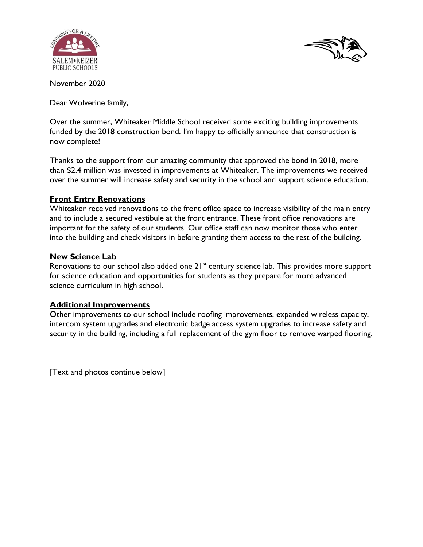



November 2020

Dear Wolverine family,

Over the summer, Whiteaker Middle School received some exciting building improvements funded by the 2018 construction bond. I'm happy to officially announce that construction is now complete!

Thanks to the support from our amazing community that approved the bond in 2018, more than \$2.4 million was invested in improvements at Whiteaker. The improvements we received over the summer will increase safety and security in the school and support science education.

## **Front Entry Renovations**

Whiteaker received renovations to the front office space to increase visibility of the main entry and to include a secured vestibule at the front entrance. These front office renovations are important for the safety of our students. Our office staff can now monitor those who enter into the building and check visitors in before granting them access to the rest of the building.

## **New Science Lab**

Renovations to our school also added one 21<sup>st</sup> century science lab. This provides more support for science education and opportunities for students as they prepare for more advanced science curriculum in high school.

## **Additional Improvements**

Other improvements to our school include roofing improvements, expanded wireless capacity, intercom system upgrades and electronic badge access system upgrades to increase safety and security in the building, including a full replacement of the gym floor to remove warped flooring.

[Text and photos continue below]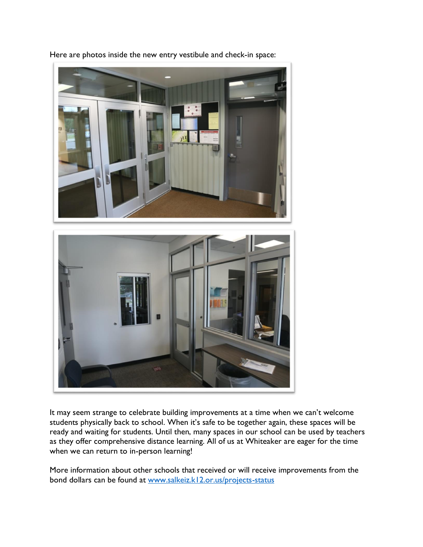

Here are photos inside the new entry vestibule and check-in space:

It may seem strange to celebrate building improvements at a time when we can't welcome students physically back to school. When it's safe to be together again, these spaces will be ready and waiting for students. Until then, many spaces in our school can be used by teachers as they offer comprehensive distance learning. All of us at Whiteaker are eager for the time when we can return to in-person learning!

More information about other schools that received or will receive improvements from the bond dollars can be found at [www.salkeiz.k12.or.us/projects-status](http://www.salkeiz.k12.or.us/projects-status)